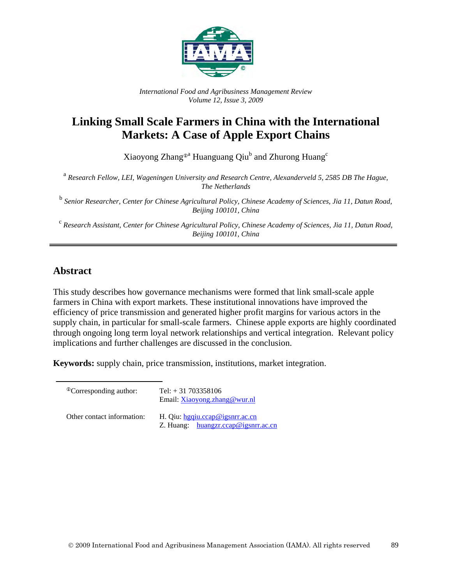

*International Food and Agribusiness Management Review Volume 12, Issue 3, 2009*

# **Linking Small Scale Farmers in China with the International Markets: A Case of Apple Export Chains**

Xiaoyong Zhang®<sup>a</sup> Huanguang Qiu<sup>b</sup> and Zhurong Huang<sup>c</sup>

<sup>a</sup> *Research Fellow, LEI, Wageningen University and Research Centre, Alexanderveld 5, 2585 DB The Hague, The Netherlands*

<sup>b</sup> *Senior Researcher, Center for Chinese Agricultural Policy, Chinese Academy of Sciences, Jia 11, Datun Road, Beijing 100101, China*

<sup>c</sup> *Research Assistant, Center for Chinese Agricultural Policy, Chinese Academy of Sciences, Jia 11, Datun Road, Beijing 100101, China*

# **Abstract**

This study describes how governance mechanisms were formed that link small-scale apple farmers in China with export markets. These institutional innovations have improved the efficiency of price transmission and generated higher profit margins for various actors in the supply chain, in particular for small-scale farmers. Chinese apple exports are highly coordinated through ongoing long term loyal network relationships and vertical integration. Relevant policy implications and further challenges are discussed in the conclusion.

**Keywords:** supply chain, price transmission, institutions, market integration.

| <sup>Th</sup> Corresponding author: | Tel: $+31703358106$<br>Email: Xiaoyong.zhang@wur.nl                      |
|-------------------------------------|--------------------------------------------------------------------------|
| Other contact information:          | H. Qiu: hgqiu.ccap@igsnrr.ac.cn<br>Z. Huang: $huangzr.ccap@igsnrr.ac.cn$ |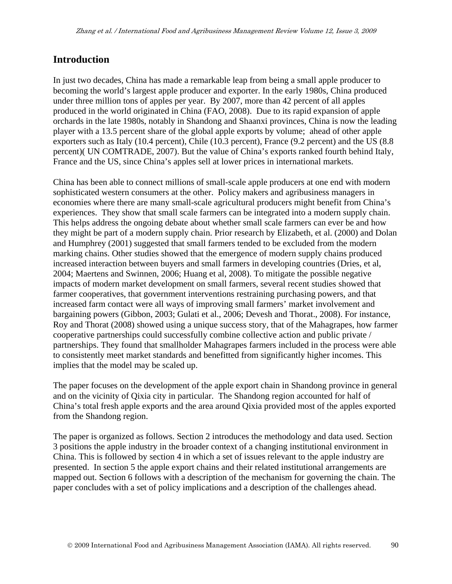### **Introduction**

In just two decades, China has made a remarkable leap from being a small apple producer to becoming the world's largest apple producer and exporter. In the early 1980s, China produced under three million tons of apples per year. By 2007, more than 42 percent of all apples produced in the world originated in China (FAO, 2008). Due to its rapid expansion of apple orchards in the late 1980s, notably in Shandong and Shaanxi provinces, China is now the leading player with a 13.5 percent share of the global apple exports by volume; ahead of other apple exporters such as Italy (10.4 percent), Chile (10.3 percent), France (9.2 percent) and the US (8.8 percent)( UN COMTRADE, 2007). But the value of China's exports ranked fourth behind Italy, France and the US, since China's apples sell at lower prices in international markets.

China has been able to connect millions of small-scale apple producers at one end with modern sophisticated western consumers at the other. Policy makers and agribusiness managers in economies where there are many small-scale agricultural producers might benefit from China's experiences. They show that small scale farmers can be integrated into a modern supply chain. This helps address the ongoing debate about whether small scale farmers can ever be and how they might be part of a modern supply chain. Prior research by Elizabeth, et al. (2000) and Dolan and Humphrey (2001) suggested that small farmers tended to be excluded from the modern marking chains. Other studies showed that the emergence of modern supply chains produced increased interaction between buyers and small farmers in developing countries (Dries, et al, 2004; Maertens and Swinnen, 2006; Huang et al, 2008). To mitigate the possible negative impacts of modern market development on small farmers, several recent studies showed that farmer cooperatives, that government interventions restraining purchasing powers, and that increased farm contact were all ways of improving small farmers' market involvement and bargaining powers (Gibbon, 2003; Gulati et al., 2006; Devesh and Thorat., 2008). For instance, Roy and Thorat (2008) showed using a unique success story, that of the Mahagrapes, how farmer cooperative partnerships could successfully combine collective action and public private / partnerships. They found that smallholder Mahagrapes farmers included in the process were able to consistently meet market standards and benefitted from significantly higher incomes. This implies that the model may be scaled up.

The paper focuses on the development of the apple export chain in Shandong province in general and on the vicinity of Qixia city in particular. The Shandong region accounted for half of China's total fresh apple exports and the area around Qixia provided most of the apples exported from the Shandong region.

The paper is organized as follows. Section 2 introduces the methodology and data used. Section 3 positions the apple industry in the broader context of a changing institutional environment in China. This is followed by section 4 in which a set of issues relevant to the apple industry are presented. In section 5 the apple export chains and their related institutional arrangements are mapped out. Section 6 follows with a description of the mechanism for governing the chain. The paper concludes with a set of policy implications and a description of the challenges ahead.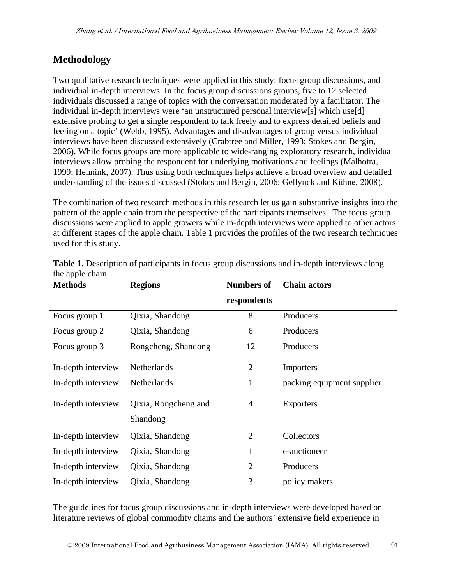# **Methodology**

Two qualitative research techniques were applied in this study: focus group discussions, and individual in-depth interviews. In the focus group discussions groups, five to 12 selected individuals discussed a range of topics with the conversation moderated by a facilitator. The individual in-depth interviews were 'an unstructured personal interview[s] which use[d] extensive probing to get a single respondent to talk freely and to express detailed beliefs and feeling on a topic' (Webb, 1995). Advantages and disadvantages of group versus individual interviews have been discussed extensively (Crabtree and Miller, 1993; Stokes and Bergin, 2006). While focus groups are more applicable to wide-ranging exploratory research, individual interviews allow probing the respondent for underlying motivations and feelings (Malhotra, 1999; Hennink, 2007). Thus using both techniques helps achieve a broad overview and detailed understanding of the issues discussed (Stokes and Bergin, 2006; Gellynck and Kűhne, 2008).

The combination of two research methods in this research let us gain substantive insights into the pattern of the apple chain from the perspective of the participants themselves. The focus group discussions were applied to apple growers while in-depth interviews were applied to other actors at different stages of the apple chain. Table 1 provides the profiles of the two research techniques used for this study.

| $\mathbf{r}$<br><b>Methods</b> | <b>Regions</b>                   | <b>Numbers of</b> | <b>Chain actors</b>        |
|--------------------------------|----------------------------------|-------------------|----------------------------|
|                                |                                  | respondents       |                            |
| Focus group 1                  | Qixia, Shandong                  | 8                 | Producers                  |
| Focus group 2                  | Qixia, Shandong                  | 6                 | Producers                  |
| Focus group 3                  | Rongcheng, Shandong              | 12                | Producers                  |
| In-depth interview             | Netherlands                      | $\overline{2}$    | Importers                  |
| In-depth interview             | Netherlands                      | $\mathbf{1}$      | packing equipment supplier |
| In-depth interview             | Qixia, Rongcheng and<br>Shandong | 4                 | <b>Exporters</b>           |
| In-depth interview             | Qixia, Shandong                  | $\overline{2}$    | Collectors                 |
| In-depth interview             | Qixia, Shandong                  | $\mathbf{1}$      | e-auctioneer               |
| In-depth interview             | Qixia, Shandong                  | $\overline{2}$    | Producers                  |
| In-depth interview             | Qixia, Shandong                  | 3                 | policy makers              |

Table 1. Description of participants in focus group discussions and in-depth interviews along the apple chain

The guidelines for focus group discussions and in-depth interviews were developed based on literature reviews of global commodity chains and the authors' extensive field experience in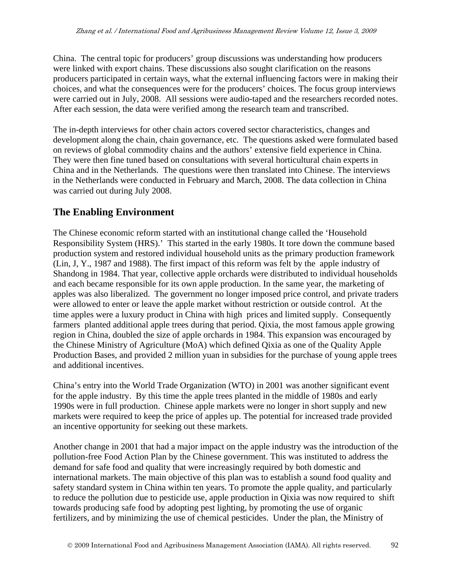China. The central topic for producers' group discussions was understanding how producers were linked with export chains. These discussions also sought clarification on the reasons producers participated in certain ways, what the external influencing factors were in making their choices, and what the consequences were for the producers' choices. The focus group interviews were carried out in July, 2008. All sessions were audio-taped and the researchers recorded notes. After each session, the data were verified among the research team and transcribed.

The in-depth interviews for other chain actors covered sector characteristics, changes and development along the chain, chain governance, etc. The questions asked were formulated based on reviews of global commodity chains and the authors' extensive field experience in China. They were then fine tuned based on consultations with several horticultural chain experts in China and in the Netherlands. The questions were then translated into Chinese. The interviews in the Netherlands were conducted in February and March, 2008. The data collection in China was carried out during July 2008.

### **The Enabling Environment**

The Chinese economic reform started with an institutional change called the 'Household Responsibility System (HRS).' This started in the early 1980s. It tore down the commune based production system and restored individual household units as the primary production framework (Lin, J, Y., 1987 and 1988). The first impact of this reform was felt by the apple industry of Shandong in 1984. That year, collective apple orchards were distributed to individual households and each became responsible for its own apple production. In the same year, the marketing of apples was also liberalized. The government no longer imposed price control, and private traders were allowed to enter or leave the apple market without restriction or outside control. At the time apples were a luxury product in China with high prices and limited supply. Consequently farmers planted additional apple trees during that period. Qixia, the most famous apple growing region in China, doubled the size of apple orchards in 1984. This expansion was encouraged by the Chinese Ministry of Agriculture (MoA) which defined Qixia as one of the Quality Apple Production Bases, and provided 2 million yuan in subsidies for the purchase of young apple trees and additional incentives.

China's entry into the World Trade Organization (WTO) in 2001 was another significant event for the apple industry. By this time the apple trees planted in the middle of 1980s and early 1990s were in full production. Chinese apple markets were no longer in short supply and new markets were required to keep the price of apples up. The potential for increased trade provided an incentive opportunity for seeking out these markets.

Another change in 2001 that had a major impact on the apple industry was the introduction of the pollution-free Food Action Plan by the Chinese government. This was instituted to address the demand for safe food and quality that were increasingly required by both domestic and international markets. The main objective of this plan was to establish a sound food quality and safety standard system in China within ten years. To promote the apple quality, and particularly to reduce the pollution due to pesticide use, apple production in Qixia was now required to shift towards producing safe food by adopting pest lighting, by promoting the use of organic fertilizers, and by minimizing the use of chemical pesticides. Under the plan, the Ministry of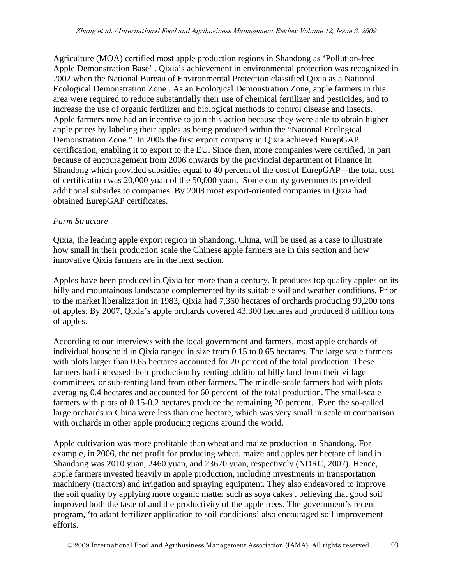Agriculture (MOA) certified most apple production regions in Shandong as 'Pollution-free Apple Demonstration Base' . Qixia's achievement in environmental protection was recognized in 2002 when the National Bureau of Environmental Protection classified Qixia as a National Ecological Demonstration Zone . As an Ecological Demonstration Zone, apple farmers in this area were required to reduce substantially their use of chemical fertilizer and pesticides, and to increase the use of organic fertilizer and biological methods to control disease and insects. Apple farmers now had an incentive to join this action because they were able to obtain higher apple prices by labeling their apples as being produced within the "National Ecological Demonstration Zone." In 2005 the first export company in Qixia achieved EurepGAP certification, enabling it to export to the EU. Since then, more companies were certified, in part because of encouragement from 2006 onwards by the provincial department of Finance in Shandong which provided subsidies equal to 40 percent of the cost of EurepGAP --the total cost of certification was 20,000 yuan of the 50,000 yuan. Some county governments provided additional subsides to companies. By 2008 most export-oriented companies in Qixia had obtained EurepGAP certificates.

#### *Farm Structure*

Qixia, the leading apple export region in Shandong, China, will be used as a case to illustrate how small in their production scale the Chinese apple farmers are in this section and how innovative Qixia farmers are in the next section.

Apples have been produced in Qixia for more than a century. It produces top quality apples on its hilly and mountainous landscape complemented by its suitable soil and weather conditions. Prior to the market liberalization in 1983, Qixia had 7,360 hectares of orchards producing 99,200 tons of apples. By 2007, Qixia's apple orchards covered 43,300 hectares and produced 8 million tons of apples.

According to our interviews with the local government and farmers, most apple orchards of individual household in Qixia ranged in size from 0.15 to 0.65 hectares. The large scale farmers with plots larger than 0.65 hectares accounted for 20 percent of the total production. These farmers had increased their production by renting additional hilly land from their village committees, or sub-renting land from other farmers. The middle-scale farmers had with plots averaging 0.4 hectares and accounted for 60 percent of the total production. The small-scale farmers with plots of 0.15-0.2 hectares produce the remaining 20 percent. Even the so-called large orchards in China were less than one hectare, which was very small in scale in comparison with orchards in other apple producing regions around the world.

Apple cultivation was more profitable than wheat and maize production in Shandong. For example, in 2006, the net profit for producing wheat, maize and apples per hectare of land in Shandong was 2010 yuan, 2460 yuan, and 23670 yuan, respectively (NDRC, 2007). Hence, apple farmers invested heavily in apple production, including investments in transportation machinery (tractors) and irrigation and spraying equipment. They also endeavored to improve the soil quality by applying more organic matter such as soya cakes , believing that good soil improved both the taste of and the productivity of the apple trees. The government's recent program, 'to adapt fertilizer application to soil conditions' also encouraged soil improvement efforts.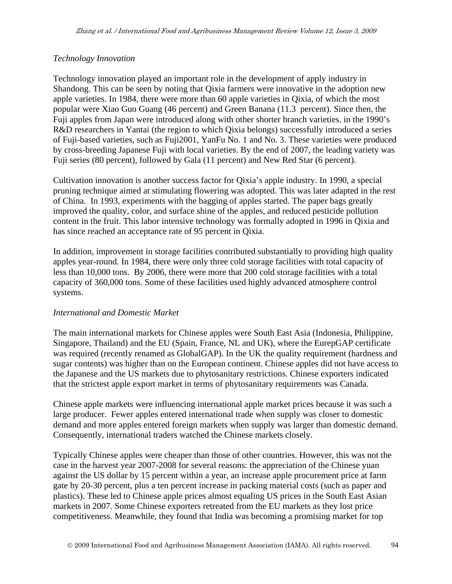#### *Technology Innovation*

Technology innovation played an important role in the development of apply industry in Shandong. This can be seen by noting that Qixia farmers were innovative in the adoption new apple varieties. In 1984, there were more than 60 apple varieties in Qixia, of which the most popular were Xiao Guo Guang (46 percent) and Green Banana (11.3 percent). Since then, the Fuji apples from Japan were introduced along with other shorter branch varieties. in the 1990's R&D researchers in Yantai (the region to which Qixia belongs) successfully introduced a series of Fuji-based varieties, such as Fuji2001, YanFu No. 1 and No. 3. These varieties were produced by cross-breeding Japanese Fuji with local varieties. By the end of 2007, the leading variety was Fuji series (80 percent), followed by Gala (11 percent) and New Red Star (6 percent).

Cultivation innovation is another success factor for Qixia's apple industry. In 1990, a special pruning technique aimed at stimulating flowering was adopted. This was later adapted in the rest of China. In 1993, experiments with the bagging of apples started. The paper bags greatly improved the quality, color, and surface shine of the apples, and reduced pesticide pollution content in the fruit. This labor intensive technology was formally adopted in 1996 in Qixia and has since reached an acceptance rate of 95 percent in Qixia.

In addition, improvement in storage facilities contributed substantially to providing high quality apples year-round. In 1984, there were only three cold storage facilities with total capacity of less than 10,000 tons. By 2006, there were more that 200 cold storage facilities with a total capacity of 360,000 tons. Some of these facilities used highly advanced atmosphere control systems.

#### *International and Domestic Market*

The main international markets for Chinese apples were South East Asia (Indonesia, Philippine, Singapore, Thailand) and the EU (Spain, France, NL and UK), where the EurepGAP certificate was required (recently renamed as GlobalGAP). In the UK the quality requirement (hardness and sugar contents) was higher than on the European continent. Chinese apples did not have access to the Japanese and the US markets due to phytosanitary restrictions. Chinese exporters indicated that the strictest apple export market in terms of phytosanitary requirements was Canada.

Chinese apple markets were influencing international apple market prices because it was such a large producer. Fewer apples entered international trade when supply was closer to domestic demand and more apples entered foreign markets when supply was larger than domestic demand. Consequently, international traders watched the Chinese markets closely.

Typically Chinese apples were cheaper than those of other countries. However, this was not the case in the harvest year 2007-2008 for several reasons: the appreciation of the Chinese yuan against the US dollar by 15 percent within a year, an increase apple procurement price at farm gate by 20-30 percent, plus a ten percent increase in packing material costs (such as paper and plastics). These led to Chinese apple prices almost equaling US prices in the South East Asian markets in 2007. Some Chinese exporters retreated from the EU markets as they lost price competitiveness. Meanwhile, they found that India was becoming a promising market for top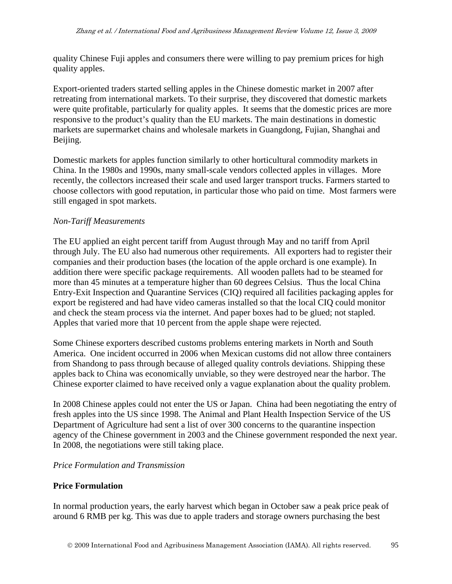quality Chinese Fuji apples and consumers there were willing to pay premium prices for high quality apples.

Export-oriented traders started selling apples in the Chinese domestic market in 2007 after retreating from international markets. To their surprise, they discovered that domestic markets were quite profitable, particularly for quality apples. It seems that the domestic prices are more responsive to the product's quality than the EU markets. The main destinations in domestic markets are supermarket chains and wholesale markets in Guangdong, Fujian, Shanghai and Beijing.

Domestic markets for apples function similarly to other horticultural commodity markets in China. In the 1980s and 1990s, many small-scale vendors collected apples in villages. More recently, the collectors increased their scale and used larger transport trucks. Farmers started to choose collectors with good reputation, in particular those who paid on time. Most farmers were still engaged in spot markets.

#### *Non-Tariff Measurements*

The EU applied an eight percent tariff from August through May and no tariff from April through July. The EU also had numerous other requirements. All exporters had to register their companies and their production bases (the location of the apple orchard is one example). In addition there were specific package requirements. All wooden pallets had to be steamed for more than 45 minutes at a temperature higher than 60 degrees Celsius. Thus the local China Entry-Exit Inspection and Quarantine Services (CIQ) required all facilities packaging apples for export be registered and had have video cameras installed so that the local CIQ could monitor and check the steam process via the internet. And paper boxes had to be glued; not stapled. Apples that varied more that 10 percent from the apple shape were rejected.

Some Chinese exporters described customs problems entering markets in North and South America. One incident occurred in 2006 when Mexican customs did not allow three containers from Shandong to pass through because of alleged quality controls deviations. Shipping these apples back to China was economically unviable, so they were destroyed near the harbor. The Chinese exporter claimed to have received only a vague explanation about the quality problem.

In 2008 Chinese apples could not enter the US or Japan. China had been negotiating the entry of fresh apples into the US since 1998. The Animal and Plant Health Inspection Service of the US Department of Agriculture had sent a list of over 300 concerns to the quarantine inspection agency of the Chinese government in 2003 and the Chinese government responded the next year. In 2008, the negotiations were still taking place.

#### *Price Formulation and Transmission*

#### **Price Formulation**

In normal production years, the early harvest which began in October saw a peak price peak of around 6 RMB per kg. This was due to apple traders and storage owners purchasing the best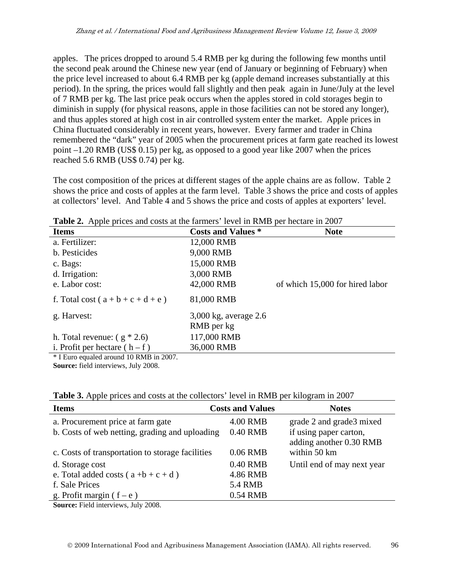apples. The prices dropped to around 5.4 RMB per kg during the following few months until the second peak around the Chinese new year (end of January or beginning of February) when the price level increased to about 6.4 RMB per kg (apple demand increases substantially at this period). In the spring, the prices would fall slightly and then peak again in June/July at the level of 7 RMB per kg. The last price peak occurs when the apples stored in cold storages begin to diminish in supply (for physical reasons, apple in those facilities can not be stored any longer), and thus apples stored at high cost in air controlled system enter the market. Apple prices in China fluctuated considerably in recent years, however. Every farmer and trader in China remembered the "dark" year of 2005 when the procurement prices at farm gate reached its lowest point –1.20 RMB (US\$ 0.15) per kg, as opposed to a good year like 2007 when the prices reached 5.6 RMB (US\$ 0.74) per kg.

The cost composition of the prices at different stages of the apple chains are as follow. Table 2 shows the price and costs of apples at the farm level. Table 3 shows the price and costs of apples at collectors' level. And Table 4 and 5 shows the price and costs of apples at exporters' level.

| <b>rative</b> . Apply prices and costs at the ratifiers rever in Kivib per nectare in 2007 |                           |                                 |
|--------------------------------------------------------------------------------------------|---------------------------|---------------------------------|
| <b>Items</b>                                                                               | <b>Costs and Values *</b> | <b>Note</b>                     |
| a. Fertilizer:                                                                             | 12,000 RMB                |                                 |
| b. Pesticides                                                                              | 9,000 RMB                 |                                 |
| c. Bags:                                                                                   | 15,000 RMB                |                                 |
| d. Irrigation:                                                                             | 3,000 RMB                 |                                 |
| e. Labor cost:                                                                             | 42,000 RMB                | of which 15,000 for hired labor |
| f. Total cost ( $a + b + c + d + e$ )                                                      | 81,000 RMB                |                                 |
| g. Harvest:                                                                                | $3,000$ kg, average 2.6   |                                 |
|                                                                                            | RMB per kg                |                                 |
| h. Total revenue: $(g * 2.6)$                                                              | 117,000 RMB               |                                 |
| i. Profit per hectare $(h - f)$                                                            | 36,000 RMB                |                                 |
| * LEuro equaled around 10 RMR in 2007                                                      |                           |                                 |

**Table 2.** Apple prices and costs at the farmers' level in RMB per hectare in 2007

Euro equaled around 10 RMB in 2007.

**Source:** field interviews, July 2008.

| <b>Table 3.</b> Apple prices and costs at the collectors' level in RMB per kilogram in 2007 |  |  |
|---------------------------------------------------------------------------------------------|--|--|
|---------------------------------------------------------------------------------------------|--|--|

| <b>Items</b>                                                                                                                                                                                                                                                                                                                      | <b>Costs and Values</b> | <b>Notes</b>                                      |
|-----------------------------------------------------------------------------------------------------------------------------------------------------------------------------------------------------------------------------------------------------------------------------------------------------------------------------------|-------------------------|---------------------------------------------------|
| a. Procurement price at farm gate                                                                                                                                                                                                                                                                                                 | 4.00 RMB                | grade 2 and grade 3 mixed                         |
| b. Costs of web netting, grading and uploading                                                                                                                                                                                                                                                                                    | 0.40 RMB                | if using paper carton,<br>adding another 0.30 RMB |
| c. Costs of transportation to storage facilities                                                                                                                                                                                                                                                                                  | 0.06 RMB                | within 50 km                                      |
| d. Storage cost                                                                                                                                                                                                                                                                                                                   | 0.40 RMB                | Until end of may next year                        |
| e. Total added costs ( $a + b + c + d$ )                                                                                                                                                                                                                                                                                          | 4.86 RMB                |                                                   |
| f. Sale Prices                                                                                                                                                                                                                                                                                                                    | <b>5.4 RMB</b>          |                                                   |
| g. Profit margin ( $f - e$ )                                                                                                                                                                                                                                                                                                      | 0.54 RMB                |                                                   |
| $\alpha$ $\mathbf{r}$ $\mathbf{11}$ $\mathbf{r}$ $\mathbf{r}$ $\mathbf{r}$ $\mathbf{r}$ $\mathbf{r}$ $\mathbf{r}$ $\mathbf{r}$ $\mathbf{r}$ $\mathbf{r}$ $\mathbf{r}$ $\mathbf{r}$ $\mathbf{r}$ $\mathbf{r}$ $\mathbf{r}$ $\mathbf{r}$ $\mathbf{r}$ $\mathbf{r}$ $\mathbf{r}$ $\mathbf{r}$ $\mathbf{r}$ $\mathbf{r}$ $\mathbf{r}$ |                         |                                                   |

**Source:** Field interviews, July 2008.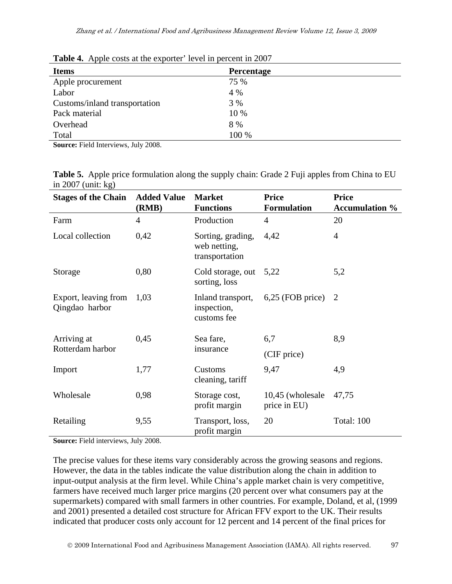| <b>Items</b>                  | Percentage |  |
|-------------------------------|------------|--|
| Apple procurement             | 75 %       |  |
| Labor                         | 4 %        |  |
| Customs/inland transportation | 3 %        |  |
| Pack material                 | 10 %       |  |
| Overhead                      | 8 %        |  |
| Total                         | 100 %      |  |
| _ _ _ _ _ _                   |            |  |

**Table 4.** Apple costs at the exporter' level in percent in 2007

**Source:** Field Interviews, July 2008.

**Table 5.** Apple price formulation along the supply chain: Grade 2 Fuji apples from China to EU in 2007 (unit: kg)

| <b>Stages of the Chain</b>             | <b>Added Value</b><br>(RMB) | <b>Market</b><br><b>Functions</b>                   | <b>Price</b><br><b>Formulation</b> | <b>Price</b><br><b>Accumulation</b> % |
|----------------------------------------|-----------------------------|-----------------------------------------------------|------------------------------------|---------------------------------------|
| Farm                                   | 4                           | Production                                          | $\overline{4}$                     | 20                                    |
| Local collection                       | 0,42                        | Sorting, grading,<br>web netting,<br>transportation | 4,42                               | 4                                     |
| Storage                                | 0,80                        | Cold storage, out<br>sorting, loss                  | 5,22                               | 5,2                                   |
| Export, leaving from<br>Qingdao harbor | 1,03                        | Inland transport,<br>inspection,<br>customs fee     | $6,25$ (FOB price)                 | 2                                     |
| Arriving at                            | 0,45                        | Sea fare,                                           | 6,7                                | 8,9                                   |
| Rotterdam harbor                       |                             | insurance                                           | (CIF price)                        |                                       |
| Import                                 | 1,77                        | Customs<br>cleaning, tariff                         | 9,47                               | 4,9                                   |
| Wholesale                              | 0,98                        | Storage cost,<br>profit margin                      | 10,45 (wholesale<br>price in EU)   | 47,75                                 |
| Retailing                              | 9,55                        | Transport, loss,<br>profit margin                   | 20                                 | Total: 100                            |

**Source:** Field interviews, July 2008.

The precise values for these items vary considerably across the growing seasons and regions. However, the data in the tables indicate the value distribution along the chain in addition to input-output analysis at the firm level. While China's apple market chain is very competitive, farmers have received much larger price margins (20 percent over what consumers pay at the supermarkets) compared with small farmers in other countries. For example, Doland, et al, (1999 and 2001) presented a detailed cost structure for African FFV export to the UK. Their results indicated that producer costs only account for 12 percent and 14 percent of the final prices for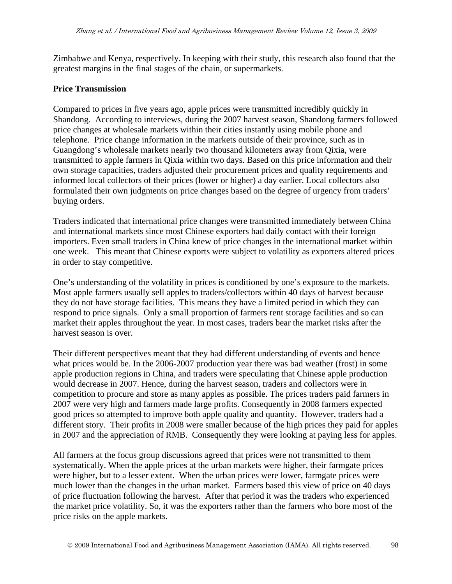Zimbabwe and Kenya, respectively. In keeping with their study, this research also found that the greatest margins in the final stages of the chain, or supermarkets.

#### **Price Transmission**

Compared to prices in five years ago, apple prices were transmitted incredibly quickly in Shandong. According to interviews, during the 2007 harvest season, Shandong farmers followed price changes at wholesale markets within their cities instantly using mobile phone and telephone. Price change information in the markets outside of their province, such as in Guangdong's wholesale markets nearly two thousand kilometers away from Qixia, were transmitted to apple farmers in Qixia within two days. Based on this price information and their own storage capacities, traders adjusted their procurement prices and quality requirements and informed local collectors of their prices (lower or higher) a day earlier. Local collectors also formulated their own judgments on price changes based on the degree of urgency from traders' buying orders.

Traders indicated that international price changes were transmitted immediately between China and international markets since most Chinese exporters had daily contact with their foreign importers. Even small traders in China knew of price changes in the international market within one week. This meant that Chinese exports were subject to volatility as exporters altered prices in order to stay competitive.

One's understanding of the volatility in prices is conditioned by one's exposure to the markets. Most apple farmers usually sell apples to traders/collectors within 40 days of harvest because they do not have storage facilities. This means they have a limited period in which they can respond to price signals. Only a small proportion of farmers rent storage facilities and so can market their apples throughout the year. In most cases, traders bear the market risks after the harvest season is over.

Their different perspectives meant that they had different understanding of events and hence what prices would be. In the 2006-2007 production year there was bad weather (frost) in some apple production regions in China, and traders were speculating that Chinese apple production would decrease in 2007. Hence, during the harvest season, traders and collectors were in competition to procure and store as many apples as possible. The prices traders paid farmers in 2007 were very high and farmers made large profits. Consequently in 2008 farmers expected good prices so attempted to improve both apple quality and quantity. However, traders had a different story. Their profits in 2008 were smaller because of the high prices they paid for apples in 2007 and the appreciation of RMB. Consequently they were looking at paying less for apples.

All farmers at the focus group discussions agreed that prices were not transmitted to them systematically. When the apple prices at the urban markets were higher, their farmgate prices were higher, but to a lesser extent. When the urban prices were lower, farmgate prices were much lower than the changes in the urban market. Farmers based this view of price on 40 days of price fluctuation following the harvest. After that period it was the traders who experienced the market price volatility. So, it was the exporters rather than the farmers who bore most of the price risks on the apple markets.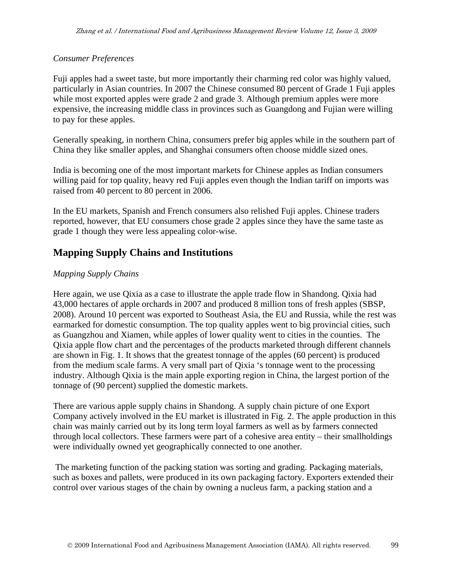#### *Consumer Preferences*

Fuji apples had a sweet taste, but more importantly their charming red color was highly valued, particularly in Asian countries. In 2007 the Chinese consumed 80 percent of Grade 1 Fuji apples while most exported apples were grade 2 and grade 3. Although premium apples were more expensive, the increasing middle class in provinces such as Guangdong and Fujian were willing to pay for these apples.

Generally speaking, in northern China, consumers prefer big apples while in the southern part of China they like smaller apples, and Shanghai consumers often choose middle sized ones.

India is becoming one of the most important markets for Chinese apples as Indian consumers willing paid for top quality, heavy red Fuji apples even though the Indian tariff on imports was raised from 40 percent to 80 percent in 2006.

In the EU markets, Spanish and French consumers also relished Fuji apples. Chinese traders reported, however, that EU consumers chose grade 2 apples since they have the same taste as grade 1 though they were less appealing color-wise.

# **Mapping Supply Chains and Institutions**

#### *Mapping Supply Chains*

Here again, we use Qixia as a case to illustrate the apple trade flow in Shandong. Qixia had 43,000 hectares of apple orchards in 2007 and produced 8 million tons of fresh apples (SBSP, 2008). Around 10 percent was exported to Southeast Asia, the EU and Russia, while the rest was earmarked for domestic consumption. The top quality apples went to big provincial cities, such as Guangzhou and Xiamen, while apples of lower quality went to cities in the counties. The Qixia apple flow chart and the percentages of the products marketed through different channels are shown in Fig. 1. It shows that the greatest tonnage of the apples (60 percent) is produced from the medium scale farms. A very small part of Qixia 's tonnage went to the processing industry. Although Qixia is the main apple exporting region in China, the largest portion of the tonnage of (90 percent) supplied the domestic markets.

There are various apple supply chains in Shandong. A supply chain picture of one Export Company actively involved in the EU market is illustrated in Fig. 2. The apple production in this chain was mainly carried out by its long term loyal farmers as well as by farmers connected through local collectors. These farmers were part of a cohesive area entity – their smallholdings were individually owned yet geographically connected to one another.

 The marketing function of the packing station was sorting and grading. Packaging materials, such as boxes and pallets, were produced in its own packaging factory. Exporters extended their control over various stages of the chain by owning a nucleus farm, a packing station and a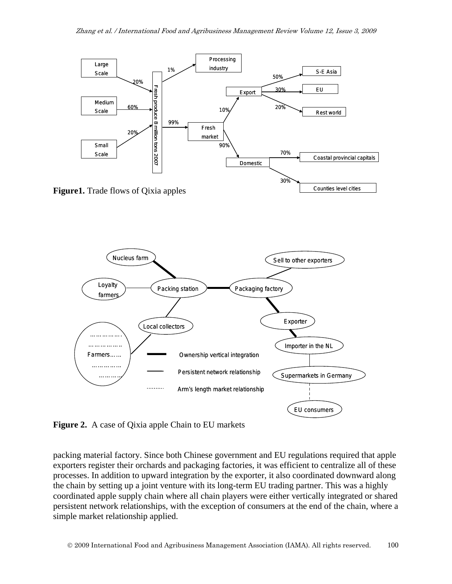



**Figure 2.** A case of Qixia apple Chain to EU markets

packing material factory. Since both Chinese government and EU regulations required that apple exporters register their orchards and packaging factories, it was efficient to centralize all of these processes. In addition to upward integration by the exporter, it also coordinated downward along the chain by setting up a joint venture with its long-term EU trading partner. This was a highly coordinated apple supply chain where all chain players were either vertically integrated or shared persistent network relationships, with the exception of consumers at the end of the chain, where a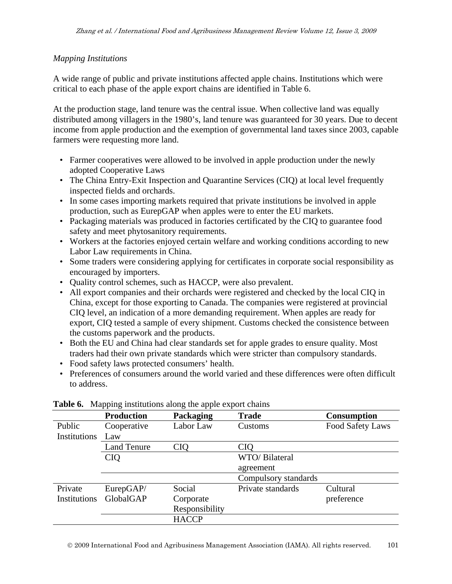#### *Mapping Institutions*

A wide range of public and private institutions affected apple chains. Institutions which were critical to each phase of the apple export chains are identified in Table 6.

At the production stage, land tenure was the central issue. When collective land was equally distributed among villagers in the 1980's, land tenure was guaranteed for 30 years. Due to decent income from apple production and the exemption of governmental land taxes since 2003, capable farmers were requesting more land.

- Farmer cooperatives were allowed to be involved in apple production under the newly adopted Cooperative Laws
- The China Entry-Exit Inspection and Quarantine Services (CIQ) at local level frequently inspected fields and orchards.
- In some cases importing markets required that private institutions be involved in apple production, such as EurepGAP when apples were to enter the EU markets.
- Packaging materials was produced in factories certificated by the CIQ to guarantee food safety and meet phytosanitory requirements.
- Workers at the factories enjoyed certain welfare and working conditions according to new Labor Law requirements in China.
- Some traders were considering applying for certificates in corporate social responsibility as encouraged by importers.
- Quality control schemes, such as HACCP, were also prevalent.
- All export companies and their orchards were registered and checked by the local CIQ in China, except for those exporting to Canada. The companies were registered at provincial CIQ level, an indication of a more demanding requirement. When apples are ready for export, CIQ tested a sample of every shipment. Customs checked the consistence between the customs paperwork and the products.
- Both the EU and China had clear standards set for apple grades to ensure quality. Most traders had their own private standards which were stricter than compulsory standards.
- Food safety laws protected consumers' health.
- Preferences of consumers around the world varied and these differences were often difficult to address.

|              | <b>Production</b>  | Packaging      | <b>Trade</b>         | <b>Consumption</b> |
|--------------|--------------------|----------------|----------------------|--------------------|
| Public       | Cooperative        | Labor Law      | Customs              | Food Safety Laws   |
| Institutions | Law                |                |                      |                    |
|              | <b>Land Tenure</b> | <b>CIQ</b>     | <b>CIQ</b>           |                    |
|              | <b>CIQ</b>         |                | WTO/ Bilateral       |                    |
|              |                    |                | agreement            |                    |
|              |                    |                | Compulsory standards |                    |
| Private      | EurepGAP/          | Social         | Private standards    | Cultural           |
| Institutions | GlobalGAP          | Corporate      |                      | preference         |
|              |                    | Responsibility |                      |                    |
|              |                    | <b>HACCP</b>   |                      |                    |

#### **Table 6.** Mapping institutions along the apple export chains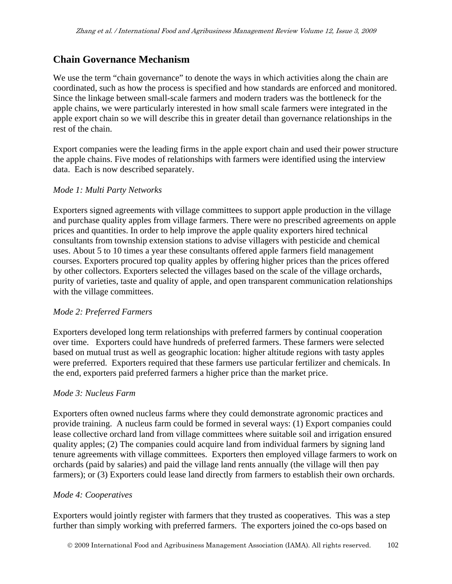### **Chain Governance Mechanism**

We use the term "chain governance" to denote the ways in which activities along the chain are coordinated, such as how the process is specified and how standards are enforced and monitored. Since the linkage between small-scale farmers and modern traders was the bottleneck for the apple chains, we were particularly interested in how small scale farmers were integrated in the apple export chain so we will describe this in greater detail than governance relationships in the rest of the chain.

Export companies were the leading firms in the apple export chain and used their power structure the apple chains. Five modes of relationships with farmers were identified using the interview data. Each is now described separately.

#### *Mode 1: Multi Party Networks*

Exporters signed agreements with village committees to support apple production in the village and purchase quality apples from village farmers. There were no prescribed agreements on apple prices and quantities. In order to help improve the apple quality exporters hired technical consultants from township extension stations to advise villagers with pesticide and chemical uses. About 5 to 10 times a year these consultants offered apple farmers field management courses. Exporters procured top quality apples by offering higher prices than the prices offered by other collectors. Exporters selected the villages based on the scale of the village orchards, purity of varieties, taste and quality of apple, and open transparent communication relationships with the village committees.

#### *Mode 2: Preferred Farmers*

Exporters developed long term relationships with preferred farmers by continual cooperation over time. Exporters could have hundreds of preferred farmers. These farmers were selected based on mutual trust as well as geographic location: higher altitude regions with tasty apples were preferred. Exporters required that these farmers use particular fertilizer and chemicals. In the end, exporters paid preferred farmers a higher price than the market price.

#### *Mode 3: Nucleus Farm*

Exporters often owned nucleus farms where they could demonstrate agronomic practices and provide training. A nucleus farm could be formed in several ways: (1) Export companies could lease collective orchard land from village committees where suitable soil and irrigation ensured quality apples; (2) The companies could acquire land from individual farmers by signing land tenure agreements with village committees. Exporters then employed village farmers to work on orchards (paid by salaries) and paid the village land rents annually (the village will then pay farmers); or (3) Exporters could lease land directly from farmers to establish their own orchards.

#### *Mode 4: Cooperatives*

Exporters would jointly register with farmers that they trusted as cooperatives. This was a step further than simply working with preferred farmers. The exporters joined the co-ops based on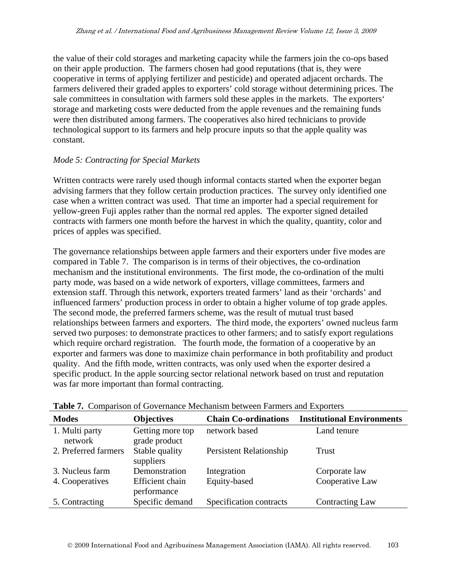the value of their cold storages and marketing capacity while the farmers join the co-ops based on their apple production. The farmers chosen had good reputations (that is, they were cooperative in terms of applying fertilizer and pesticide) and operated adjacent orchards. The farmers delivered their graded apples to exporters' cold storage without determining prices. The sale committees in consultation with farmers sold these apples in the markets. The exporters' storage and marketing costs were deducted from the apple revenues and the remaining funds were then distributed among farmers. The cooperatives also hired technicians to provide technological support to its farmers and help procure inputs so that the apple quality was constant.

#### *Mode 5: Contracting for Special Markets*

Written contracts were rarely used though informal contacts started when the exporter began advising farmers that they follow certain production practices. The survey only identified one case when a written contract was used. That time an importer had a special requirement for yellow-green Fuji apples rather than the normal red apples. The exporter signed detailed contracts with farmers one month before the harvest in which the quality, quantity, color and prices of apples was specified.

The governance relationships between apple farmers and their exporters under five modes are compared in Table 7. The comparison is in terms of their objectives, the co-ordination mechanism and the institutional environments. The first mode, the co-ordination of the multi party mode, was based on a wide network of exporters, village committees, farmers and extension staff. Through this network, exporters treated farmers' land as their 'orchards' and influenced farmers' production process in order to obtain a higher volume of top grade apples. The second mode, the preferred farmers scheme, was the result of mutual trust based relationships between farmers and exporters. The third mode, the exporters' owned nucleus farm served two purposes: to demonstrate practices to other farmers; and to satisfy export regulations which require orchard registration. The fourth mode, the formation of a cooperative by an exporter and farmers was done to maximize chain performance in both profitability and product quality. And the fifth mode, written contracts, was only used when the exporter desired a specific product. In the apple sourcing sector relational network based on trust and reputation was far more important than formal contracting.

| <b>Modes</b>              | <b>Objectives</b>                     | <b>Chain Co-ordinations</b> | <b>Institutional Environments</b> |
|---------------------------|---------------------------------------|-----------------------------|-----------------------------------|
| 1. Multi party<br>network | Getting more top<br>grade product     | network based               | Land tenure                       |
| 2. Preferred farmers      | Stable quality<br>suppliers           | Persistent Relationship     | Trust                             |
| 3. Nucleus farm           | Demonstration                         | Integration                 | Corporate law                     |
| 4. Cooperatives           | <b>Efficient</b> chain<br>performance | Equity-based                | Cooperative Law                   |
| 5. Contracting            | Specific demand                       | Specification contracts     | <b>Contracting Law</b>            |

|  | <b>Table 7.</b> Comparison of Governance Mechanism between Farmers and Exporters |  |  |
|--|----------------------------------------------------------------------------------|--|--|
|  |                                                                                  |  |  |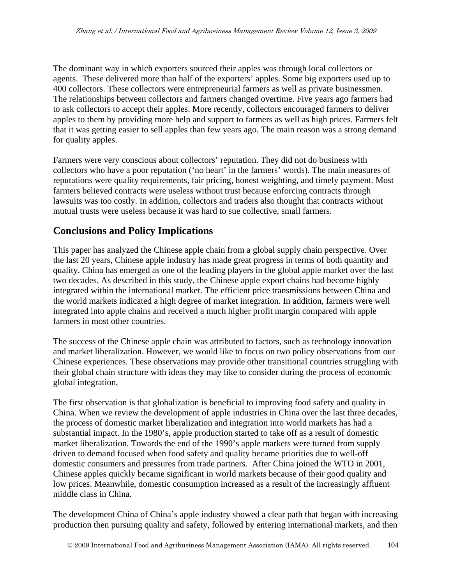The dominant way in which exporters sourced their apples was through local collectors or agents. These delivered more than half of the exporters' apples. Some big exporters used up to 400 collectors. These collectors were entrepreneurial farmers as well as private businessmen. The relationships between collectors and farmers changed overtime. Five years ago farmers had to ask collectors to accept their apples. More recently, collectors encouraged farmers to deliver apples to them by providing more help and support to farmers as well as high prices. Farmers felt that it was getting easier to sell apples than few years ago. The main reason was a strong demand for quality apples.

Farmers were very conscious about collectors' reputation. They did not do business with collectors who have a poor reputation ('no heart' in the farmers' words). The main measures of reputations were quality requirements, fair pricing, honest weighting, and timely payment. Most farmers believed contracts were useless without trust because enforcing contracts through lawsuits was too costly. In addition, collectors and traders also thought that contracts without mutual trusts were useless because it was hard to sue collective, small farmers.

### **Conclusions and Policy Implications**

This paper has analyzed the Chinese apple chain from a global supply chain perspective. Over the last 20 years, Chinese apple industry has made great progress in terms of both quantity and quality. China has emerged as one of the leading players in the global apple market over the last two decades. As described in this study, the Chinese apple export chains had become highly integrated within the international market. The efficient price transmissions between China and the world markets indicated a high degree of market integration. In addition, farmers were well integrated into apple chains and received a much higher profit margin compared with apple farmers in most other countries.

The success of the Chinese apple chain was attributed to factors, such as technology innovation and market liberalization. However, we would like to focus on two policy observations from our Chinese experiences. These observations may provide other transitional countries struggling with their global chain structure with ideas they may like to consider during the process of economic global integration,

The first observation is that globalization is beneficial to improving food safety and quality in China. When we review the development of apple industries in China over the last three decades, the process of domestic market liberalization and integration into world markets has had a substantial impact. In the 1980's, apple production started to take off as a result of domestic market liberalization. Towards the end of the 1990's apple markets were turned from supply driven to demand focused when food safety and quality became priorities due to well-off domestic consumers and pressures from trade partners. After China joined the WTO in 2001, Chinese apples quickly became significant in world markets because of their good quality and low prices. Meanwhile, domestic consumption increased as a result of the increasingly affluent middle class in China.

The development China of China's apple industry showed a clear path that began with increasing production then pursuing quality and safety, followed by entering international markets, and then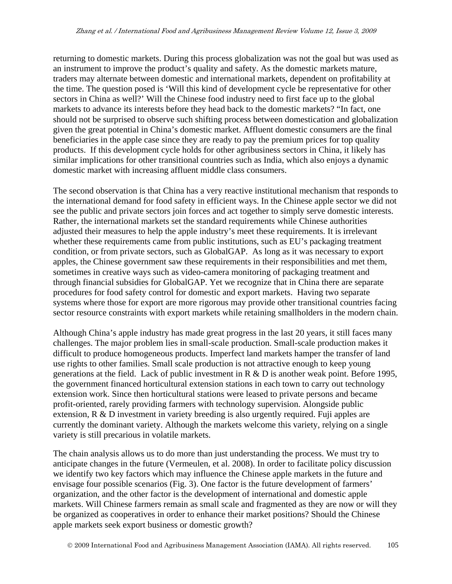returning to domestic markets. During this process globalization was not the goal but was used as an instrument to improve the product's quality and safety. As the domestic markets mature, traders may alternate between domestic and international markets, dependent on profitability at the time. The question posed is 'Will this kind of development cycle be representative for other sectors in China as well?' Will the Chinese food industry need to first face up to the global markets to advance its interests before they head back to the domestic markets? "In fact, one should not be surprised to observe such shifting process between domestication and globalization given the great potential in China's domestic market. Affluent domestic consumers are the final beneficiaries in the apple case since they are ready to pay the premium prices for top quality products. If this development cycle holds for other agribusiness sectors in China, it likely has similar implications for other transitional countries such as India, which also enjoys a dynamic domestic market with increasing affluent middle class consumers.

The second observation is that China has a very reactive institutional mechanism that responds to the international demand for food safety in efficient ways. In the Chinese apple sector we did not see the public and private sectors join forces and act together to simply serve domestic interests. Rather, the international markets set the standard requirements while Chinese authorities adjusted their measures to help the apple industry's meet these requirements. It is irrelevant whether these requirements came from public institutions, such as EU's packaging treatment condition, or from private sectors, such as GlobalGAP. As long as it was necessary to export apples, the Chinese government saw these requirements in their responsibilities and met them, sometimes in creative ways such as video-camera monitoring of packaging treatment and through financial subsidies for GlobalGAP. Yet we recognize that in China there are separate procedures for food safety control for domestic and export markets. Having two separate systems where those for export are more rigorous may provide other transitional countries facing sector resource constraints with export markets while retaining smallholders in the modern chain.

Although China's apple industry has made great progress in the last 20 years, it still faces many challenges. The major problem lies in small-scale production. Small-scale production makes it difficult to produce homogeneous products. Imperfect land markets hamper the transfer of land use rights to other families. Small scale production is not attractive enough to keep young generations at the field. Lack of public investment in R & D is another weak point. Before 1995, the government financed horticultural extension stations in each town to carry out technology extension work. Since then horticultural stations were leased to private persons and became profit-oriented, rarely providing farmers with technology supervision. Alongside public extension, R & D investment in variety breeding is also urgently required. Fuji apples are currently the dominant variety. Although the markets welcome this variety, relying on a single variety is still precarious in volatile markets.

The chain analysis allows us to do more than just understanding the process. We must try to anticipate changes in the future (Vermeulen, et al. 2008). In order to facilitate policy discussion we identify two key factors which may influence the Chinese apple markets in the future and envisage four possible scenarios (Fig. 3). One factor is the future development of farmers' organization, and the other factor is the development of international and domestic apple markets. Will Chinese farmers remain as small scale and fragmented as they are now or will they be organized as cooperatives in order to enhance their market positions? Should the Chinese apple markets seek export business or domestic growth?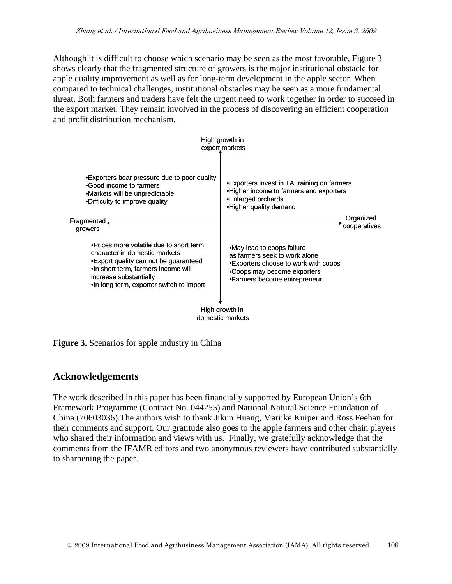Although it is difficult to choose which scenario may be seen as the most favorable, Figure 3 shows clearly that the fragmented structure of growers is the major institutional obstacle for apple quality improvement as well as for long-term development in the apple sector. When compared to technical challenges, institutional obstacles may be seen as a more fundamental threat. Both farmers and traders have felt the urgent need to work together in order to succeed in the export market. They remain involved in the process of discovering an efficient cooperation and profit distribution mechanism.

|                                                                                                                                                                                                                                   | High growth in<br>export markets                                                                                                                                   |
|-----------------------------------------------------------------------------------------------------------------------------------------------------------------------------------------------------------------------------------|--------------------------------------------------------------------------------------------------------------------------------------------------------------------|
| •Exporters bear pressure due to poor quality<br>.Good income to farmers<br>•Markets will be unpredictable<br>•Difficulty to improve quality                                                                                       | •Exporters invest in TA training on farmers<br>•Higher income to farmers and exporters<br>•Enlarged orchards<br>•Higher quality demand                             |
| $Fragmented$ <sub><math>-</math></sub><br>growers                                                                                                                                                                                 | Organized<br>cooperatives                                                                                                                                          |
| . Prices more volatile due to short term<br>character in domestic markets<br>• Export quality can not be guaranteed<br>.In short term, farmers income will<br>increase substantially<br>. In long term, exporter switch to import | •May lead to coops failure<br>as farmers seek to work alone<br>•Exporters choose to work with coops<br>•Coops may become exporters<br>•Farmers become entrepreneur |
|                                                                                                                                                                                                                                   | High growth in<br>domestic markets                                                                                                                                 |

**Figure 3.** Scenarios for apple industry in China

### **Acknowledgements**

The work described in this paper has been financially supported by European Union's 6th Framework Programme (Contract No. 044255) and National Natural Science Foundation of China (70603036).The authors wish to thank Jikun Huang, Marijke Kuiper and Ross Feehan for their comments and support. Our gratitude also goes to the apple farmers and other chain players who shared their information and views with us. Finally, we gratefully acknowledge that the comments from the IFAMR editors and two anonymous reviewers have contributed substantially to sharpening the paper.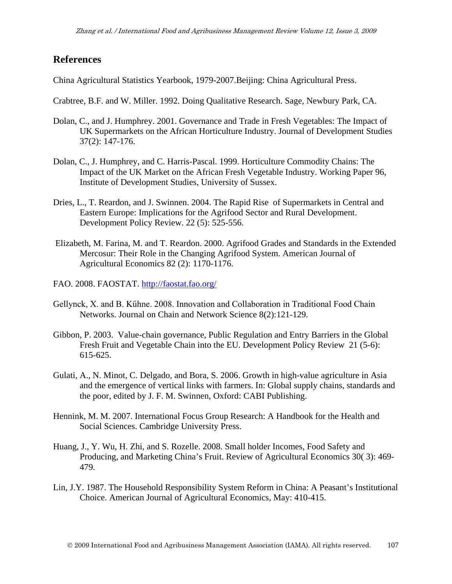### **References**

China Agricultural Statistics Yearbook, 1979-2007.Beijing: China Agricultural Press.

Crabtree, B.F. and W. Miller. 1992. Doing Qualitative Research. Sage, Newbury Park, CA.

- Dolan, C., and J. Humphrey. 2001. Governance and Trade in Fresh Vegetables: The Impact of UK Supermarkets on the African Horticulture Industry. Journal of Development Studies 37(2): 147-176.
- Dolan, C., J. Humphrey, and C. Harris-Pascal. 1999. Horticulture Commodity Chains: The Impact of the UK Market on the African Fresh Vegetable Industry. Working Paper 96, Institute of Development Studies, University of Sussex.
- Dries, L., T. Reardon, and J. Swinnen. 2004. The Rapid Rise of Supermarkets in Central and Eastern Europe: Implications for the Agrifood Sector and Rural Development. Development Policy Review. 22 (5): 525-556.
- Elizabeth, M. Farina, M. and T. Reardon. 2000. Agrifood Grades and Standards in the Extended Mercosur: Their Role in the Changing Agrifood System. American Journal of Agricultural Economics 82 (2): 1170-1176.
- FAO. 2008. FAOSTAT.<http://faostat.fao.org/>
- Gellynck, X. and B. Kűhne. 2008. Innovation and Collaboration in Traditional Food Chain Networks. Journal on Chain and Network Science 8(2):121-129.
- Gibbon, P. 2003. Value-chain governance, Public Regulation and Entry Barriers in the Global Fresh Fruit and Vegetable Chain into the EU. Development Policy Review 21 (5-6): 615-625.
- Gulati, A., N. Minot, C. Delgado, and Bora, S. 2006. Growth in high-value agriculture in Asia and the emergence of vertical links with farmers. In: Global supply chains, standards and the poor, edited by J. F. M. Swinnen, Oxford: CABI Publishing.
- Hennink, M. M. 2007. International Focus Group Research: A Handbook for the Health and Social Sciences. Cambridge University Press.
- Huang, J., Y. Wu, H. Zhi, and S. Rozelle. 2008. Small holder Incomes, Food Safety and Producing, and Marketing China's Fruit. Review of Agricultural Economics 30( 3): 469- 479.
- Lin, J.Y. 1987. The Household Responsibility System Reform in China: A Peasant's Institutional Choice. American Journal of Agricultural Economics, May: 410-415.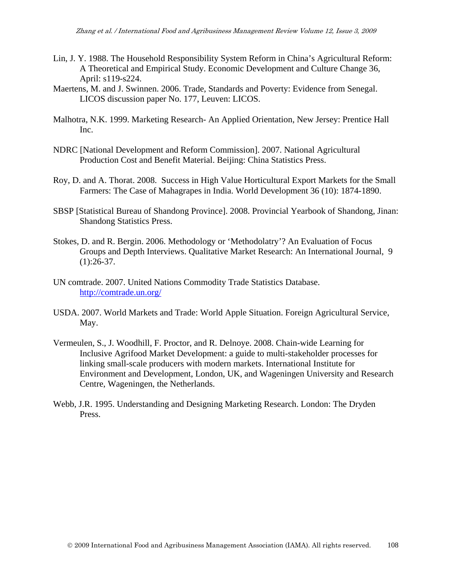- Lin, J. Y. 1988. The Household Responsibility System Reform in China's Agricultural Reform: A Theoretical and Empirical Study. Economic Development and Culture Change 36, April: s119-s224.
- Maertens, M. and J. Swinnen. 2006. Trade, Standards and Poverty: Evidence from Senegal. LICOS discussion paper No. 177, Leuven: LICOS.
- Malhotra, N.K. 1999. Marketing Research- An Applied Orientation, New Jersey: Prentice Hall Inc.
- NDRC [National Development and Reform Commission]. 2007. National Agricultural Production Cost and Benefit Material. Beijing: China Statistics Press.
- Roy, D. and A. Thorat. 2008. Success in High Value Horticultural Export Markets for the Small Farmers: The Case of Mahagrapes in India. World Development 36 (10): 1874-1890.
- SBSP [Statistical Bureau of Shandong Province]. 2008. Provincial Yearbook of Shandong, Jinan: Shandong Statistics Press.
- Stokes, D. and R. Bergin. 2006. Methodology or 'Methodolatry'? An Evaluation of Focus Groups and Depth Interviews. Qualitative Market Research: An International Journal, 9  $(1):26-37.$
- UN comtrade. 2007. United Nations Commodity Trade Statistics Database. <http://comtrade.un.org/>
- USDA. 2007. World Markets and Trade: World Apple Situation. Foreign Agricultural Service, May.
- Vermeulen, S., J. Woodhill, F. Proctor, and R. Delnoye. 2008. Chain-wide Learning for Inclusive Agrifood Market Development: a guide to multi-stakeholder processes for linking small-scale producers with modern markets. International Institute for Environment and Development, London, UK, and Wageningen University and Research Centre, Wageningen, the Netherlands.
- Webb, J.R. 1995. Understanding and Designing Marketing Research. London: The Dryden Press.